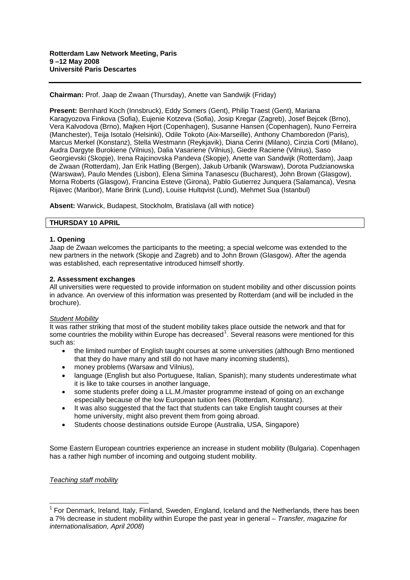**Chairman:** Prof. Jaap de Zwaan (Thursday), Anette van Sandwijk (Friday)

**Present:** Bernhard Koch (Innsbruck), Eddy Somers (Gent), Philip Traest (Gent), Mariana Karagyozova Finkova (Sofia), Eujenie Kotzeva (Sofia), Josip Kregar (Zagreb), Josef Bejcek (Brno), Vera Kalvodova (Brno), Majken Hjort (Copenhagen), Susanne Hansen (Copenhagen), Nuno Ferreira (Manchester), Teija Isotalo (Helsinki), Odile Tokoto (Aix-Marseille), Anthony Chamboredon (Paris), Marcus Merkel (Konstanz), Stella Westmann (Reykjavik), Diana Cerini (Milano), Cinzia Corti (Milano), Audra Dargyte Burokiene (Vilnius), Dalia Vasariene (Vilnius), Giedre Raciene (Vilnius), Saso Georgievski (Skopje), Irena Rajcinovska Pandeva (Skopje), Anette van Sandwijk (Rotterdam), Jaap de Zwaan (Rotterdam), Jan Erik Hatling (Bergen), Jakub Urbanik (Warswaw), Dorota Pudzianowska (Warswaw), Paulo Mendes (Lisbon), Elena Simina Tanasescu (Bucharest), John Brown (Glasgow), Morna Roberts (Glasgow), Francina Esteve (Girona), Pablo Gutierrez Junquera (Salamanca), Vesna Rijavec (Maribor), Marie Brink (Lund), Louise Hultqvist (Lund), Mehmet Sua (Istanbul)

**Absent:** Warwick, Budapest, Stockholm, Bratislava (all with notice)

# **THURSDAY 10 APRIL**

### **1. Opening**

Jaap de Zwaan welcomes the participants to the meeting; a special welcome was extended to the new partners in the network (Skopje and Zagreb) and to John Brown (Glasgow). After the agenda was established, each representative introduced himself shortly.

### **2. Assessment exchanges**

All universities were requested to provide information on student mobility and other discussion points in advance. An overview of this information was presented by Rotterdam (and will be included in the brochure).

### *Student Mobility*

It was rather striking that most of the student mobility takes place outside the network and that for some countries the mobility within Europe has decreased<sup>[1](#page-0-0)</sup>. Several reasons were mentioned for this such as:

- the limited number of English taught courses at some universities (although Brno mentioned that they do have many and still do not have many incoming students),
- money problems (Warsaw and Vilnius).
- language (English but also Portuguese, Italian, Spanish); many students underestimate what it is like to take courses in another language,
- some students prefer doing a LL.M./master programme instead of going on an exchange especially because of the low European tuition fees (Rotterdam, Konstanz).
- It was also suggested that the fact that students can take English taught courses at their home university, might also prevent them from going abroad.
- Students choose destinations outside Europe (Australia, USA, Singapore)

Some Eastern European countries experience an increase in student mobility (Bulgaria). Copenhagen has a rather high number of incoming and outgoing student mobility.

### *Teaching staff mobility*

1

<span id="page-0-0"></span><sup>&</sup>lt;sup>1</sup> For Denmark, Ireland, Italy, Finland, Sweden, England, Iceland and the Netherlands, there has been a 7% decrease in student mobility within Europe the past year in general – *Transfer, magazine for internationalisation, April 2008*)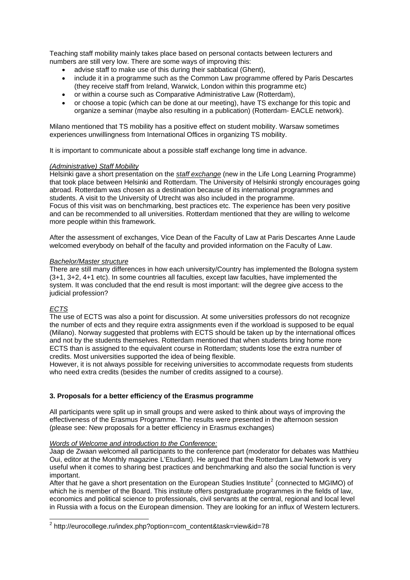Teaching staff mobility mainly takes place based on personal contacts between lecturers and numbers are still very low. There are some ways of improving this:

- advise staff to make use of this during their sabbatical (Ghent),
- include it in a programme such as the Common Law programme offered by Paris Descartes (they receive staff from Ireland, Warwick, London within this programme etc)
- or within a course such as Comparative Administrative Law (Rotterdam),
- or choose a topic (which can be done at our meeting), have TS exchange for this topic and organize a seminar (maybe also resulting in a publication) (Rotterdam- EACLE network).

Milano mentioned that TS mobility has a positive effect on student mobility. Warsaw sometimes experiences unwillingness from International Offices in organizing TS mobility.

It is important to communicate about a possible staff exchange long time in advance.

# *(Administrative) Staff Mobility*

Helsinki gave a short presentation on the *staff exchange* (new in the Life Long Learning Programme) that took place between Helsinki and Rotterdam. The University of Helsinki strongly encourages going abroad. Rotterdam was chosen as a destination because of its international programmes and students. A visit to the University of Utrecht was also included in the programme. Focus of this visit was on benchmarking, best practices etc. The experience has been very positive and can be recommended to all universities. Rotterdam mentioned that they are willing to welcome more people within this framework.

After the assessment of exchanges, Vice Dean of the Faculty of Law at Paris Descartes Anne Laude welcomed everybody on behalf of the faculty and provided information on the Faculty of Law.

# *Bachelor/Master structure*

There are still many differences in how each university/Country has implemented the Bologna system (3+1, 3+2, 4+1 etc). In some countries all faculties, except law faculties, have implemented the system. It was concluded that the end result is most important: will the degree give access to the judicial profession?

# *ECTS*

The use of ECTS was also a point for discussion. At some universities professors do not recognize the number of ects and they require extra assignments even if the workload is supposed to be equal (Milano). Norway suggested that problems with ECTS should be taken up by the international offices and not by the students themselves. Rotterdam mentioned that when students bring home more ECTS than is assigned to the equivalent course in Rotterdam; students lose the extra number of credits. Most universities supported the idea of being flexible.

However, it is not always possible for receiving universities to accommodate requests from students who need extra credits (besides the number of credits assigned to a course).

# **3. Proposals for a better efficiency of the Erasmus programme**

All participants were split up in small groups and were asked to think about ways of improving the effectiveness of the Erasmus Programme. The results were presented in the afternoon session (please see: New proposals for a better efficiency in Erasmus exchanges)

### *Words of Welcome and introduction to the Conference:*

Jaap de Zwaan welcomed all participants to the conference part (moderator for debates was Matthieu Oui, editor at the Monthly magazine L'Etudiant). He argued that the Rotterdam Law Network is very useful when it comes to sharing best practices and benchmarking and also the social function is very important.

After that he gave a short presentation on the European Studies Institute<sup>[2](#page-1-0)</sup> (connected to MGIMO) of which he is member of the Board. This institute offers postgraduate programmes in the fields of law. economics and political science to professionals, civil servants at the central, regional and local level in Russia with a focus on the European dimension. They are looking for an influx of Western lecturers.

<span id="page-1-0"></span>\_\_\_\_\_\_\_\_\_\_\_\_\_\_\_\_\_\_\_\_\_\_\_\_\_\_\_\_\_\_\_\_\_\_\_<br><sup>2</sup> http://eurocollege.ru/index.php?option=com\_content&task=view&id=78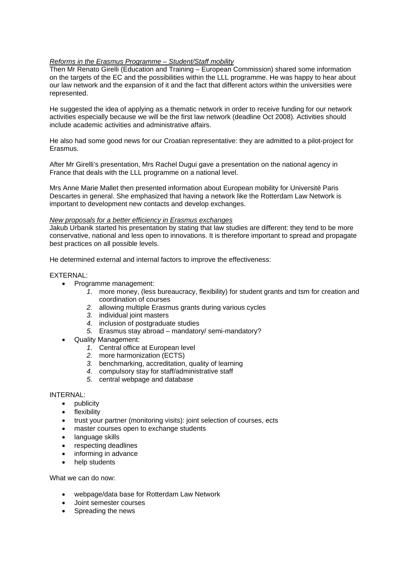# *Reforms in the Erasmus Programme – Student/Staff mobility*

Then Mr Renato Girelli (Education and Training – European Commission) shared some information on the targets of the EC and the possibilities within the LLL programme. He was happy to hear about our law network and the expansion of it and the fact that different actors within the universities were represented.

He suggested the idea of applying as a thematic network in order to receive funding for our network activities especially because we will be the first law network (deadline Oct 2008). Activities should include academic activities and administrative affairs.

He also had some good news for our Croatian representative: they are admitted to a pilot-project for Erasmus.

After Mr Girelli's presentation, Mrs Rachel Dugui gave a presentation on the national agency in France that deals with the LLL programme on a national level.

Mrs Anne Marie Mallet then presented information about European mobility for Université Paris Descartes in general. She emphasized that having a network like the Rotterdam Law Network is important to development new contacts and develop exchanges.

### *New proposals for a better efficiency in Erasmus exchanges*

Jakub Urbanik started his presentation by stating that law studies are different: they tend to be more conservative, national and less open to innovations. It is therefore important to spread and propagate best practices on all possible levels.

He determined external and internal factors to improve the effectiveness:

# EXTERNAL:

- Programme management:
	- *1.* more money, (less bureaucracy, flexibility) for student grants and tsm for creation and coordination of courses
	- *2.* allowing multiple Erasmus grants during various cycles
	- *3.* individual joint masters
	- *4.* inclusion of postgraduate studies
	- *5.* Erasmus stay abroad mandatory/ semi-mandatory?
- Quality Management:
	- *1.* Central office at European level
	- *2.* more harmonization (ECTS)
	- *3.* benchmarking, accreditation, quality of learning
	- *4.* compulsory stay for staff/administrative staff
	- *5.* central webpage and database

# INTERNAL:

- publicity
- **flexibility**
- trust your partner (monitoring visits): joint selection of courses, ects
- master courses open to exchange students
- language skills
- respecting deadlines
- informing in advance
- help students

What we can do now:

- webpage/data base for Rotterdam Law Network
- Joint semester courses
- Spreading the news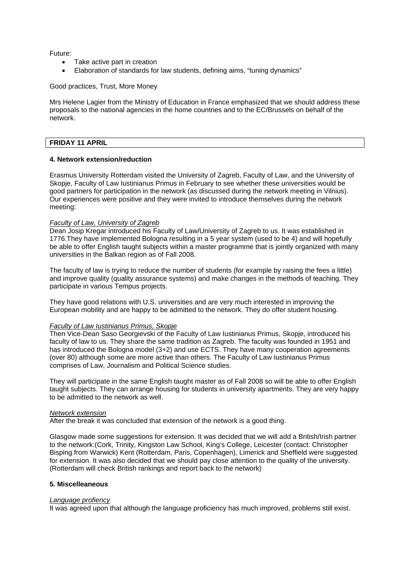Future:

- Take active part in creation
- Elaboration of standards for law students, defining aims, "tuning dynamics"

# Good practices, Trust, More Money

Mrs Helene Lagier from the Ministry of Education in France emphasized that we should address these proposals to the national agencies in the home countries and to the EC/Brussels on behalf of the network.

# **FRIDAY 11 APRIL**

## **4. Network extension/reduction**

Erasmus University Rotterdam visited the University of Zagreb, Faculty of Law, and the University of Skopje, Faculty of Law Iustinianus Primus in February to see whether these universities would be good partners for participation in the network (as discussed during the network meeting in Vilnius). Our experiences were positive and they were invited to introduce themselves during the network meeting:

# *Faculty of Law, University of Zagreb*

Dean Josip Kregar introduced his Faculty of Law/University of Zagreb to us. It was established in 1776.They have implemented Bologna resulting in a 5 year system (used to be 4) and will hopefully be able to offer English taught subjects within a master programme that is jointly organized with many universities in the Balkan region as of Fall 2008.

The faculty of law is trying to reduce the number of students (for example by raising the fees a little) and improve quality (quality assurance systems) and make changes in the methods of teaching. They participate in various Tempus projects.

They have good relations with U.S. universities and are very much interested in improving the European mobility and are happy to be admitted to the network. They do offer student housing.

# *Faculty of Law Iustinianus Primus, Skopje*

Then Vice-Dean Saso Georgievski of the Faculty of Law Iustinianus Primus, Skopje, introduced his faculty of law to us. They share the same tradition as Zagreb. The faculty was founded in 1951 and has introduced the Bologna model (3+2) and use ECTS. They have many cooperation agreements (over 80) although some are more active than others. The Faculty of Law Iustinianus Primus comprises of Law, Journalism and Political Science studies.

They will participate in the same English taught master as of Fall 2008 so will be able to offer English taught subjects. They can arrange housing for students in university apartments. They are very happy to be admitted to the network as well.

### *Network extension*

After the break it was concluded that extension of the network is a good thing.

Glasgow made some suggestions for extension. It was decided that we will add a British/Irish partner to the network:(Cork, Trinity, Kingston Law School, King's College, Leicester (contact: Christopher Bisping from Warwick) Kent (Rotterdam, Paris, Copenhagen), Limerick and Sheffield were suggested for extension. It was also decided that we should pay close attention to the quality of the university. (Rotterdam will check British rankings and report back to the network)

### **5. Miscelleaneous**

#### *Language profiency*

It was agreed upon that although the language proficiency has much improved, problems still exist.